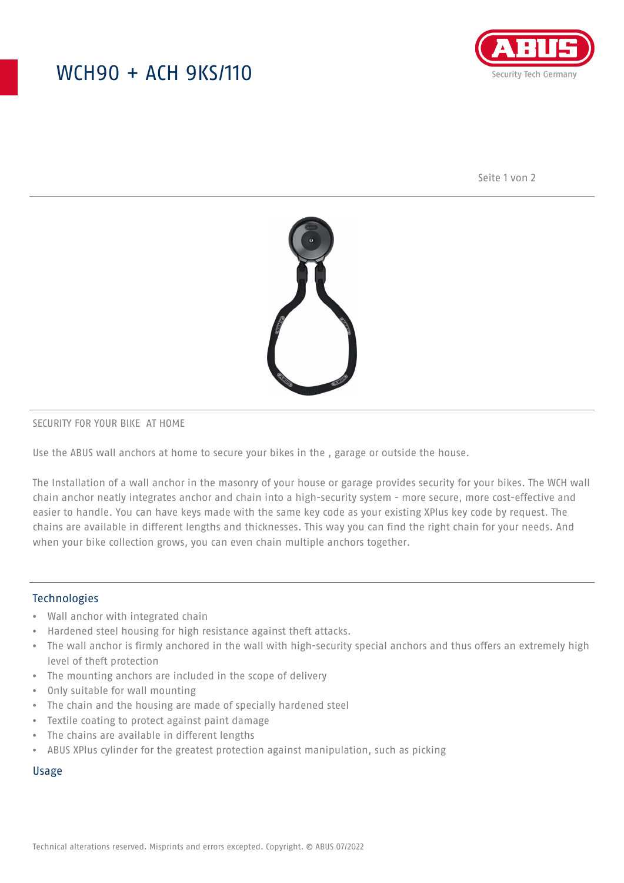## WCH90 + ACH 9KS/110



Seite 1 von 2



#### SECURITY FOR YOUR BIKE AT HOME

Use the ABUS wall anchors at home to secure your bikes in the , garage or outside the house.

The Installation of a wall anchor in the masonry of your house or garage provides security for your bikes. The WCH wall chain anchor neatly integrates anchor and chain into a high-security system - more secure, more cost-effective and easier to handle. You can have keys made with the same key code as your existing XPlus key code by request. The chains are available in different lengths and thicknesses. This way you can find the right chain for your needs. And when your bike collection grows, you can even chain multiple anchors together.

### Technologies

- Wall anchor with integrated chain
- Hardened steel housing for high resistance against theft attacks.
- The wall anchor is firmly anchored in the wall with high-security special anchors and thus offers an extremely high level of theft protection
- The mounting anchors are included in the scope of delivery
- Only suitable for wall mounting
- The chain and the housing are made of specially hardened steel
- Textile coating to protect against paint damage
- The chains are available in different lengths
- ABUS XPlus cylinder for the greatest protection against manipulation, such as picking

#### Usage